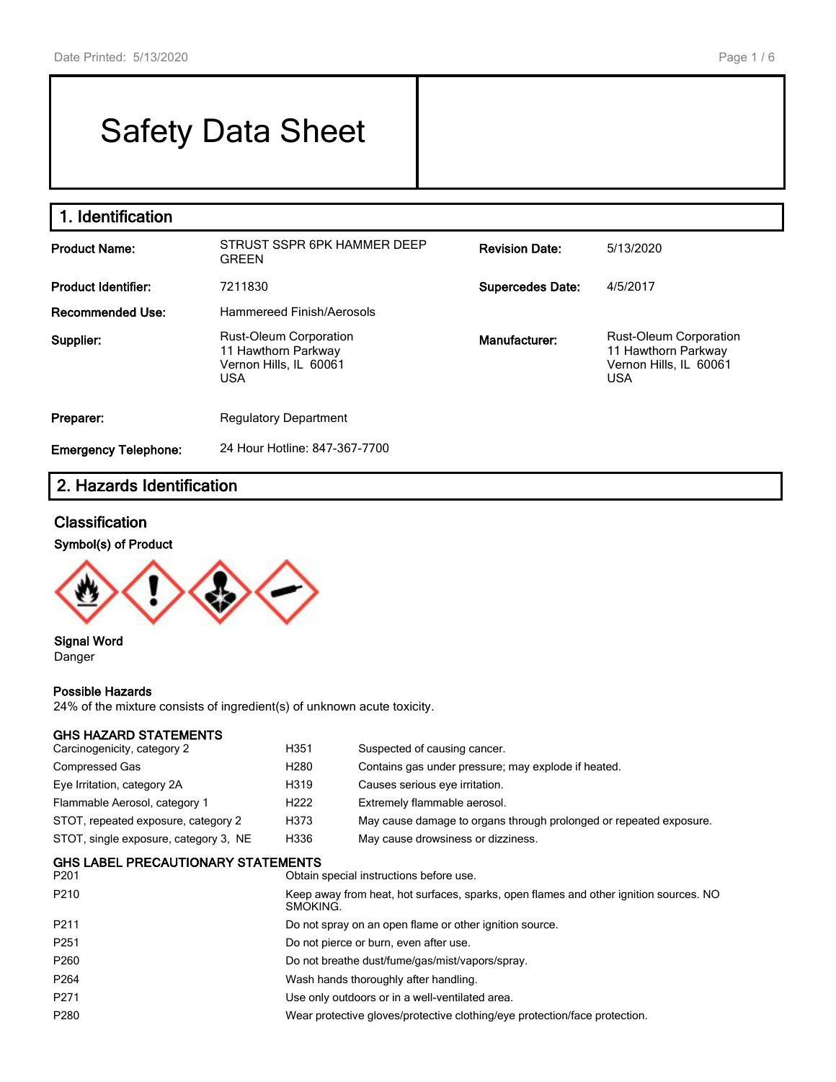#### Page 1 / 6

# Safety Data Sheet

# **1. Identification**

| <b>Product Name:</b>                  | STRUST SSPR 6PK HAMMER DEEP<br><b>GREEN</b>                                                  | <b>Revision Date:</b>   | 5/13/2020                                                                                    |
|---------------------------------------|----------------------------------------------------------------------------------------------|-------------------------|----------------------------------------------------------------------------------------------|
| <b>Product Identifier:</b><br>7211830 |                                                                                              | <b>Supercedes Date:</b> | 4/5/2017                                                                                     |
| Recommended Use:                      | Hammereed Finish/Aerosols                                                                    |                         |                                                                                              |
| Supplier:                             | <b>Rust-Oleum Corporation</b><br>11 Hawthorn Parkway<br>Vernon Hills, IL 60061<br><b>USA</b> | Manufacturer:           | <b>Rust-Oleum Corporation</b><br>11 Hawthorn Parkway<br>Vernon Hills, IL 60061<br><b>USA</b> |
| Preparer:                             | <b>Regulatory Department</b>                                                                 |                         |                                                                                              |
| <b>Emergency Telephone:</b>           | 24 Hour Hotline: 847-367-7700                                                                |                         |                                                                                              |

# **2. Hazards Identification**

#### **Classification**

## **Symbol(s) of Product**



#### **Signal Word** Danger

#### **Possible Hazards**

24% of the mixture consists of ingredient(s) of unknown acute toxicity.

| <b>GHS HAZARD STATEMENTS</b>          |                                                                                                   |                                                                            |  |
|---------------------------------------|---------------------------------------------------------------------------------------------------|----------------------------------------------------------------------------|--|
| Carcinogenicity, category 2           | H351                                                                                              | Suspected of causing cancer.                                               |  |
| Compressed Gas                        | H <sub>280</sub>                                                                                  | Contains gas under pressure; may explode if heated.                        |  |
| Eye Irritation, category 2A           | H319                                                                                              | Causes serious eye irritation.                                             |  |
| Flammable Aerosol, category 1         | H <sub>222</sub>                                                                                  | Extremely flammable aerosol.                                               |  |
| STOT, repeated exposure, category 2   | H373                                                                                              | May cause damage to organs through prolonged or repeated exposure.         |  |
| STOT, single exposure, category 3, NE | H336                                                                                              | May cause drowsiness or dizziness.                                         |  |
| GHS LABEL PRECAUTIONARY STATEMENTS    |                                                                                                   |                                                                            |  |
| P201                                  |                                                                                                   | Obtain special instructions before use.                                    |  |
| P210                                  | Keep away from heat, hot surfaces, sparks, open flames and other ignition sources. NO<br>SMOKING. |                                                                            |  |
| P211                                  | Do not spray on an open flame or other ignition source.                                           |                                                                            |  |
| P251                                  | Do not pierce or burn, even after use.                                                            |                                                                            |  |
| P260                                  |                                                                                                   | Do not breathe dust/fume/gas/mist/vapors/spray.                            |  |
| P264                                  | Wash hands thoroughly after handling.                                                             |                                                                            |  |
| P271                                  | Use only outdoors or in a well-ventilated area.                                                   |                                                                            |  |
| P280                                  |                                                                                                   | Wear protective gloves/protective clothing/eye protection/face protection. |  |
|                                       |                                                                                                   |                                                                            |  |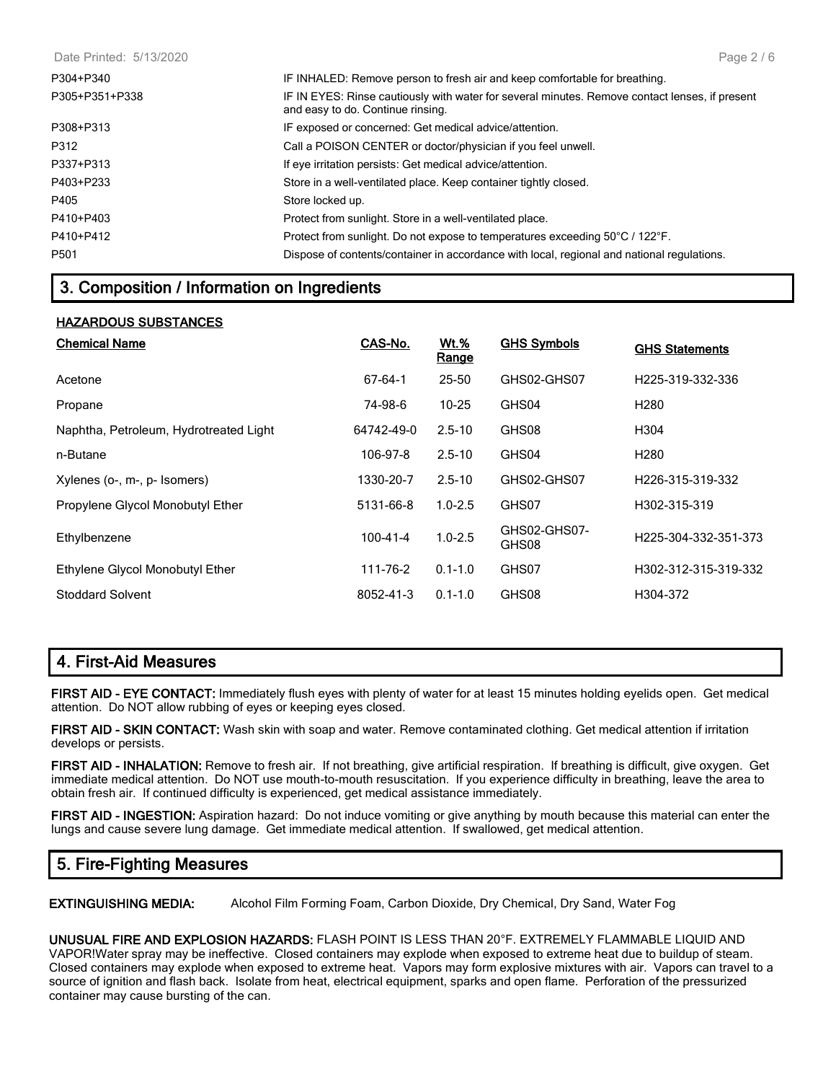| Date Printed: 5/13/2020 | Page 2/6                                                                                                                            |
|-------------------------|-------------------------------------------------------------------------------------------------------------------------------------|
| P304+P340               | IF INHALED: Remove person to fresh air and keep comfortable for breathing.                                                          |
| P305+P351+P338          | IF IN EYES: Rinse cautiously with water for several minutes. Remove contact lenses, if present<br>and easy to do. Continue rinsing. |
| P308+P313               | IF exposed or concerned: Get medical advice/attention.                                                                              |
| P312                    | Call a POISON CENTER or doctor/physician if you feel unwell.                                                                        |
| P337+P313               | If eye irritation persists: Get medical advice/attention.                                                                           |
| P403+P233               | Store in a well-ventilated place. Keep container tightly closed.                                                                    |
| P405                    | Store locked up.                                                                                                                    |
| P410+P403               | Protect from sunlight. Store in a well-ventilated place.                                                                            |
| P410+P412               | Protect from sunlight. Do not expose to temperatures exceeding 50°C / 122°F.                                                        |
| P501                    | Dispose of contents/container in accordance with local, regional and national regulations.                                          |

## **3. Composition / Information on Ingredients**

#### **HAZARDOUS SUBSTANCES**

| <b>Chemical Name</b>                   | CAS-No.    | <u>Wt.%</u><br>Range | <b>GHS Symbols</b>    | <b>GHS Statements</b>         |
|----------------------------------------|------------|----------------------|-----------------------|-------------------------------|
| Acetone                                | 67-64-1    | 25-50                | GHS02-GHS07           | H <sub>225</sub> -319-332-336 |
| Propane                                | 74-98-6    | $10 - 25$            | GHS04                 | H <sub>280</sub>              |
| Naphtha, Petroleum, Hydrotreated Light | 64742-49-0 | $2.5 - 10$           | GHS08                 | H <sub>304</sub>              |
| n-Butane                               | 106-97-8   | $2.5 - 10$           | GHS04                 | H <sub>280</sub>              |
| Xylenes (o-, m-, p- Isomers)           | 1330-20-7  | $2.5 - 10$           | GHS02-GHS07           | H <sub>226</sub> -315-319-332 |
| Propylene Glycol Monobutyl Ether       | 5131-66-8  | $1.0 - 2.5$          | GHS07                 | H302-315-319                  |
| Ethylbenzene                           | 100-41-4   | $1.0 - 2.5$          | GHS02-GHS07-<br>GHS08 | H225-304-332-351-373          |
| Ethylene Glycol Monobutyl Ether        | 111-76-2   | $0.1 - 1.0$          | GHS07                 | H302-312-315-319-332          |
| <b>Stoddard Solvent</b>                | 8052-41-3  | $0.1 - 1.0$          | GHS08                 | H304-372                      |

## **4. First-Aid Measures**

**FIRST AID - EYE CONTACT:** Immediately flush eyes with plenty of water for at least 15 minutes holding eyelids open. Get medical attention. Do NOT allow rubbing of eyes or keeping eyes closed.

**FIRST AID - SKIN CONTACT:** Wash skin with soap and water. Remove contaminated clothing. Get medical attention if irritation develops or persists.

**FIRST AID - INHALATION:** Remove to fresh air. If not breathing, give artificial respiration. If breathing is difficult, give oxygen. Get immediate medical attention. Do NOT use mouth-to-mouth resuscitation. If you experience difficulty in breathing, leave the area to obtain fresh air. If continued difficulty is experienced, get medical assistance immediately.

**FIRST AID - INGESTION:** Aspiration hazard: Do not induce vomiting or give anything by mouth because this material can enter the lungs and cause severe lung damage. Get immediate medical attention. If swallowed, get medical attention.

## **5. Fire-Fighting Measures**

**EXTINGUISHING MEDIA:** Alcohol Film Forming Foam, Carbon Dioxide, Dry Chemical, Dry Sand, Water Fog

**UNUSUAL FIRE AND EXPLOSION HAZARDS:** FLASH POINT IS LESS THAN 20°F. EXTREMELY FLAMMABLE LIQUID AND VAPOR!Water spray may be ineffective. Closed containers may explode when exposed to extreme heat due to buildup of steam.

Closed containers may explode when exposed to extreme heat. Vapors may form explosive mixtures with air. Vapors can travel to a source of ignition and flash back. Isolate from heat, electrical equipment, sparks and open flame. Perforation of the pressurized container may cause bursting of the can.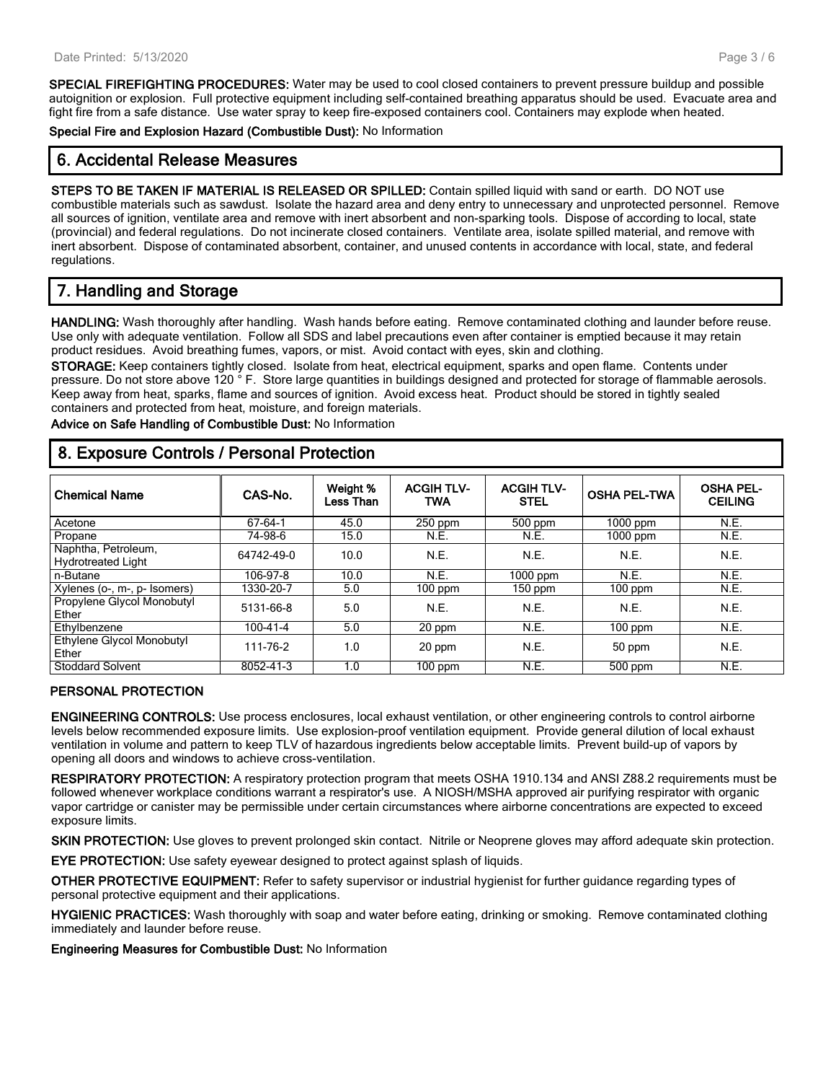**SPECIAL FIREFIGHTING PROCEDURES:** Water may be used to cool closed containers to prevent pressure buildup and possible autoignition or explosion. Full protective equipment including self-contained breathing apparatus should be used. Evacuate area and fight fire from a safe distance. Use water spray to keep fire-exposed containers cool. Containers may explode when heated.

**Special Fire and Explosion Hazard (Combustible Dust):** No Information

## **6. Accidental Release Measures**

**STEPS TO BE TAKEN IF MATERIAL IS RELEASED OR SPILLED:** Contain spilled liquid with sand or earth. DO NOT use combustible materials such as sawdust. Isolate the hazard area and deny entry to unnecessary and unprotected personnel. Remove all sources of ignition, ventilate area and remove with inert absorbent and non-sparking tools. Dispose of according to local, state (provincial) and federal regulations. Do not incinerate closed containers. Ventilate area, isolate spilled material, and remove with inert absorbent. Dispose of contaminated absorbent, container, and unused contents in accordance with local, state, and federal regulations.

## **7. Handling and Storage**

**HANDLING:** Wash thoroughly after handling. Wash hands before eating. Remove contaminated clothing and launder before reuse. Use only with adequate ventilation. Follow all SDS and label precautions even after container is emptied because it may retain product residues. Avoid breathing fumes, vapors, or mist. Avoid contact with eyes, skin and clothing.

**STORAGE:** Keep containers tightly closed. Isolate from heat, electrical equipment, sparks and open flame. Contents under pressure. Do not store above 120 ° F. Store large quantities in buildings designed and protected for storage of flammable aerosols. Keep away from heat, sparks, flame and sources of ignition. Avoid excess heat. Product should be stored in tightly sealed containers and protected from heat, moisture, and foreign materials.

**Advice on Safe Handling of Combustible Dust:** No Information

## **8. Exposure Controls / Personal Protection**

| <b>Chemical Name</b>                             | CAS-No.        | Weight %<br>Less Than | <b>ACGIH TLV-</b><br><b>TWA</b> | <b>ACGIH TLV-</b><br><b>STEL</b> | <b>OSHA PEL-TWA</b>  | <b>OSHA PEL-</b><br><b>CEILING</b> |
|--------------------------------------------------|----------------|-----------------------|---------------------------------|----------------------------------|----------------------|------------------------------------|
| Acetone                                          | 67-64-1        | 45.0                  | $250$ ppm                       | 500 ppm                          | $1000$ ppm           | N.E.                               |
| Propane                                          | 74-98-6        | 15.0                  | N.E.                            | N.E.                             | $1000$ ppm           | N.E.                               |
| Naphtha, Petroleum,<br><b>Hydrotreated Light</b> | 64742-49-0     | 10.0                  | N.E.                            | N.E.                             | N.E.                 | N.E.                               |
| n-Butane                                         | 106-97-8       | 10.0                  | N.E.                            | 1000 ppm                         | N.E.                 | N.E.                               |
| Xylenes (o-, m-, p- Isomers)                     | 1330-20-7      | 5.0                   | $100$ ppm                       | 150 ppm                          | $\overline{1}00$ ppm | N.E.                               |
| Propylene Glycol Monobutyl<br>Ether              | 5131-66-8      | 5.0                   | N.E.                            | N.E.                             | N.E.                 | N.E.                               |
| Ethylbenzene                                     | $100 - 41 - 4$ | 5.0                   | $20$ ppm                        | N.E.                             | $100$ ppm            | N.E.                               |
| Ethylene Glycol Monobutyl<br>Ether               | 111-76-2       | 1.0                   | 20 ppm                          | N.E.                             | 50 ppm               | N.E.                               |
| <b>Stoddard Solvent</b>                          | 8052-41-3      | 1.0                   | $100$ ppm                       | N.E.                             | 500 ppm              | N.E.                               |

#### **PERSONAL PROTECTION**

**ENGINEERING CONTROLS:** Use process enclosures, local exhaust ventilation, or other engineering controls to control airborne levels below recommended exposure limits. Use explosion-proof ventilation equipment. Provide general dilution of local exhaust ventilation in volume and pattern to keep TLV of hazardous ingredients below acceptable limits. Prevent build-up of vapors by opening all doors and windows to achieve cross-ventilation.

**RESPIRATORY PROTECTION:** A respiratory protection program that meets OSHA 1910.134 and ANSI Z88.2 requirements must be followed whenever workplace conditions warrant a respirator's use. A NIOSH/MSHA approved air purifying respirator with organic vapor cartridge or canister may be permissible under certain circumstances where airborne concentrations are expected to exceed exposure limits.

**SKIN PROTECTION:** Use gloves to prevent prolonged skin contact. Nitrile or Neoprene gloves may afford adequate skin protection.

**EYE PROTECTION:** Use safety eyewear designed to protect against splash of liquids.

**OTHER PROTECTIVE EQUIPMENT:** Refer to safety supervisor or industrial hygienist for further guidance regarding types of personal protective equipment and their applications.

**HYGIENIC PRACTICES:** Wash thoroughly with soap and water before eating, drinking or smoking. Remove contaminated clothing immediately and launder before reuse.

**Engineering Measures for Combustible Dust:** No Information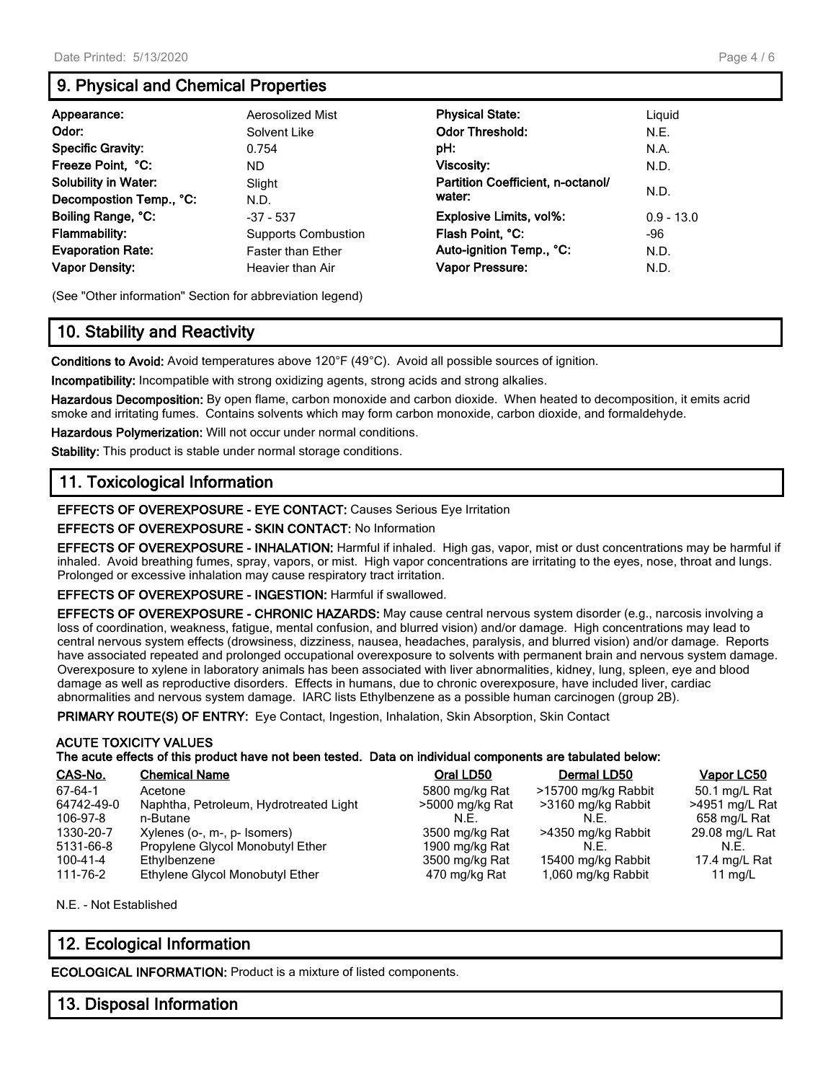## **9. Physical and Chemical Properties**

| Appearance:                 | Aerosolized Mist           | <b>Physical State:</b>            | Liguid       |
|-----------------------------|----------------------------|-----------------------------------|--------------|
| Odor:                       | Solvent Like               | <b>Odor Threshold:</b>            | N.E.         |
| <b>Specific Gravity:</b>    | 0.754                      | pH:                               | N.A.         |
| Freeze Point, °C:           | ND                         | Viscosity:                        | N.D.         |
| <b>Solubility in Water:</b> | Slight                     | Partition Coefficient, n-octanol/ |              |
| Decompostion Temp., °C:     | N.D.                       | water:                            | N.D.         |
| Boiling Range, °C:          | $-37 - 537$                | <b>Explosive Limits, vol%:</b>    | $0.9 - 13.0$ |
| <b>Flammability:</b>        | <b>Supports Combustion</b> | Flash Point, °C:                  | -96          |
| <b>Evaporation Rate:</b>    | <b>Faster than Ether</b>   | Auto-ignition Temp., °C:          | N.D.         |
| <b>Vapor Density:</b>       | Heavier than Air           | Vapor Pressure:                   | N.D.         |

(See "Other information" Section for abbreviation legend)

## **10. Stability and Reactivity**

**Conditions to Avoid:** Avoid temperatures above 120°F (49°C). Avoid all possible sources of ignition.

**Incompatibility:** Incompatible with strong oxidizing agents, strong acids and strong alkalies.

**Hazardous Decomposition:** By open flame, carbon monoxide and carbon dioxide. When heated to decomposition, it emits acrid smoke and irritating fumes. Contains solvents which may form carbon monoxide, carbon dioxide, and formaldehyde.

**Hazardous Polymerization:** Will not occur under normal conditions.

**Stability:** This product is stable under normal storage conditions.

## **11. Toxicological Information**

**EFFECTS OF OVEREXPOSURE - EYE CONTACT:** Causes Serious Eye Irritation

#### **EFFECTS OF OVEREXPOSURE - SKIN CONTACT:** No Information

**EFFECTS OF OVEREXPOSURE - INHALATION:** Harmful if inhaled. High gas, vapor, mist or dust concentrations may be harmful if inhaled. Avoid breathing fumes, spray, vapors, or mist. High vapor concentrations are irritating to the eyes, nose, throat and lungs. Prolonged or excessive inhalation may cause respiratory tract irritation.

**EFFECTS OF OVEREXPOSURE - INGESTION:** Harmful if swallowed.

**EFFECTS OF OVEREXPOSURE - CHRONIC HAZARDS:** May cause central nervous system disorder (e.g., narcosis involving a loss of coordination, weakness, fatigue, mental confusion, and blurred vision) and/or damage. High concentrations may lead to central nervous system effects (drowsiness, dizziness, nausea, headaches, paralysis, and blurred vision) and/or damage. Reports have associated repeated and prolonged occupational overexposure to solvents with permanent brain and nervous system damage. Overexposure to xylene in laboratory animals has been associated with liver abnormalities, kidney, lung, spleen, eye and blood damage as well as reproductive disorders. Effects in humans, due to chronic overexposure, have included liver, cardiac abnormalities and nervous system damage. IARC lists Ethylbenzene as a possible human carcinogen (group 2B).

**PRIMARY ROUTE(S) OF ENTRY:** Eye Contact, Ingestion, Inhalation, Skin Absorption, Skin Contact

#### **ACUTE TOXICITY VALUES The acute effects of this product have not been tested. Data on individual components are tabulated below:**

| CAS-No.        | <b>Chemical Name</b>                   | Oral LD50       | Dermal LD50         | Vapor LC50     |
|----------------|----------------------------------------|-----------------|---------------------|----------------|
| 67-64-1        | Acetone                                | 5800 mg/kg Rat  | >15700 mg/kg Rabbit | 50.1 mg/L Rat  |
| 64742-49-0     | Naphtha, Petroleum, Hydrotreated Light | >5000 mg/kg Rat | >3160 mg/kg Rabbit  | >4951 mg/L Rat |
| 106-97-8       | n-Butane                               | N.E.            | N.F.                | 658 mg/L Rat   |
| 1330-20-7      | Xylenes (o-, m-, p- Isomers)           | 3500 mg/kg Rat  | >4350 mg/kg Rabbit  | 29.08 mg/L Rat |
| 5131-66-8      | Propylene Glycol Monobutyl Ether       | 1900 mg/kg Rat  | N.F.                | N.F.           |
| $100 - 41 - 4$ | Ethylbenzene                           | 3500 mg/kg Rat  | 15400 mg/kg Rabbit  | 17.4 mg/L Rat  |
| 111-76-2       | Ethylene Glycol Monobutyl Ether        | 470 mg/kg Rat   | 1,060 mg/kg Rabbit  | 11 $mq/L$      |
|                |                                        |                 |                     |                |

N.E. - Not Established

## **12. Ecological Information**

**ECOLOGICAL INFORMATION:** Product is a mixture of listed components.

#### **13. Disposal Information**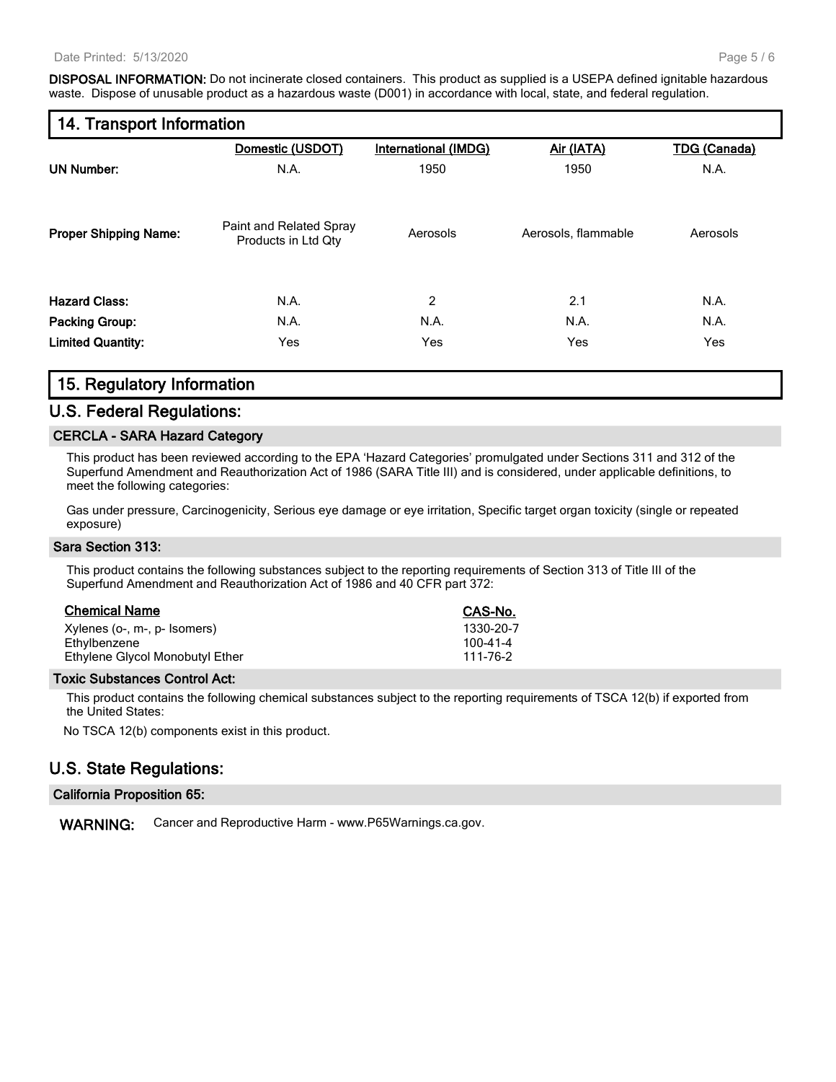**DISPOSAL INFORMATION:** Do not incinerate closed containers. This product as supplied is a USEPA defined ignitable hazardous waste. Dispose of unusable product as a hazardous waste (D001) in accordance with local, state, and federal regulation.

## **14. Transport Information**

|                              | Domestic (USDOT)                               | <b>International (IMDG)</b> | Air (IATA)          | <b>TDG (Canada)</b> |
|------------------------------|------------------------------------------------|-----------------------------|---------------------|---------------------|
| <b>UN Number:</b>            | N.A.                                           | 1950                        | 1950                | N.A.                |
| <b>Proper Shipping Name:</b> | Paint and Related Spray<br>Products in Ltd Qty | Aerosols                    | Aerosols, flammable | Aerosols            |
| <b>Hazard Class:</b>         | N.A.                                           | 2                           | 2.1                 | N.A.                |
| <b>Packing Group:</b>        | N.A.                                           | N.A.                        | N.A.                | N.A.                |
| <b>Limited Quantity:</b>     | Yes                                            | Yes                         | Yes                 | Yes                 |
|                              |                                                |                             |                     |                     |

#### **15. Regulatory Information**

#### **U.S. Federal Regulations:**

#### **CERCLA - SARA Hazard Category**

This product has been reviewed according to the EPA 'Hazard Categories' promulgated under Sections 311 and 312 of the Superfund Amendment and Reauthorization Act of 1986 (SARA Title III) and is considered, under applicable definitions, to meet the following categories:

Gas under pressure, Carcinogenicity, Serious eye damage or eye irritation, Specific target organ toxicity (single or repeated exposure)

#### **Sara Section 313:**

This product contains the following substances subject to the reporting requirements of Section 313 of Title III of the Superfund Amendment and Reauthorization Act of 1986 and 40 CFR part 372:

| <b>Chemical Name</b> |  |
|----------------------|--|
|                      |  |

| Xylenes (o-, m-, p- Isomers)    | 1330-20-7 |
|---------------------------------|-----------|
| Ethylbenzene                    | 100-41-4  |
| Ethylene Glycol Monobutyl Ether | 111-76-2  |

#### **Toxic Substances Control Act:**

This product contains the following chemical substances subject to the reporting requirements of TSCA 12(b) if exported from the United States:

**Chemical Name CAS-No.**

No TSCA 12(b) components exist in this product.

#### **U.S. State Regulations:**

#### **California Proposition 65:**

**WARNING:** Cancer and Reproductive Harm - www.P65Warnings.ca.gov.